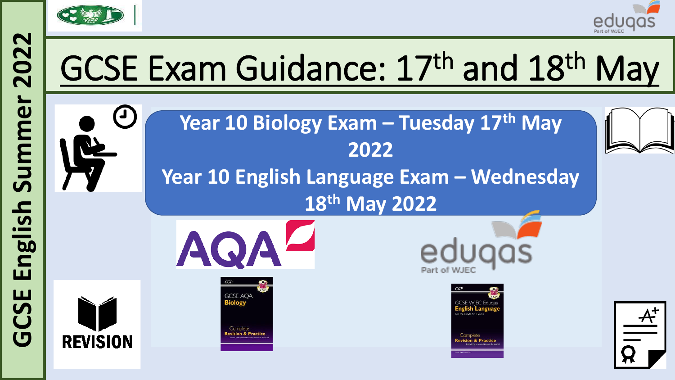



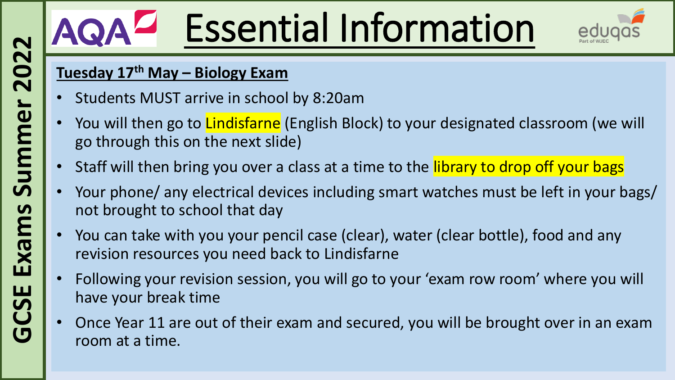# Essential Information



#### **Tuesday 17th May – Biology Exam**

- Students MUST arrive in school by 8:20am
- You will then go to *Lindisfarne* (English Block) to your designated classroom (we will go through this on the next slide)
- Staff will then bring you over a class at a time to the library to drop off your bags
- Your phone/ any electrical devices including smart watches must be left in your bags/ not brought to school that day
- You can take with you your pencil case (clear), water (clear bottle), food and any revision resources you need back to Lindisfarne
- Following your revision session, you will go to your 'exam row room' where you will have your break time
- Once Year 11 are out of their exam and secured, you will be brought over in an exam room at a time.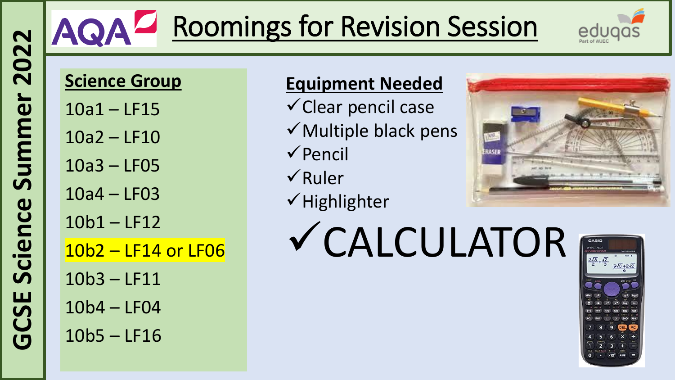## AQA<sup>Z</sup> Roomings for Revision Session



### **Science Group**

- 10a1 LF15
- 10a2 LF10
- 10a3 LF05
- 10a4 LF03
- 10b1 LF12
- 10b2 LF14 or LF06
- 10b3 LF11
- 10b4 LF04
- 10b5 LF16

### **Equipment Needed**

- $\checkmark$  Clear pencil case
- $\checkmark$  Multiple black pens
- ✓Pencil
- ✓Ruler
- ✓Highlighter
- ✓CALCULATOR



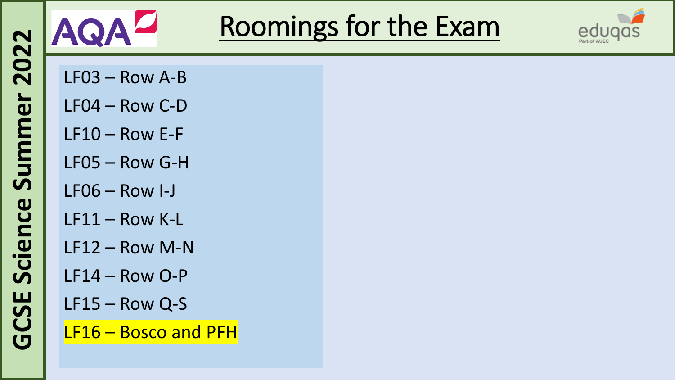

### Roomings for the Exam



- LF03 Row A-B
- LF04 Row C-D
- LF10 Row E-F
- LF05 Row G-H
- LF06 Row I-J
- LF11 Row K-L
- LF12 Row M-N
- LF14 Row O-P
- LF15 Row Q-S
- LF16 Bosco and PFH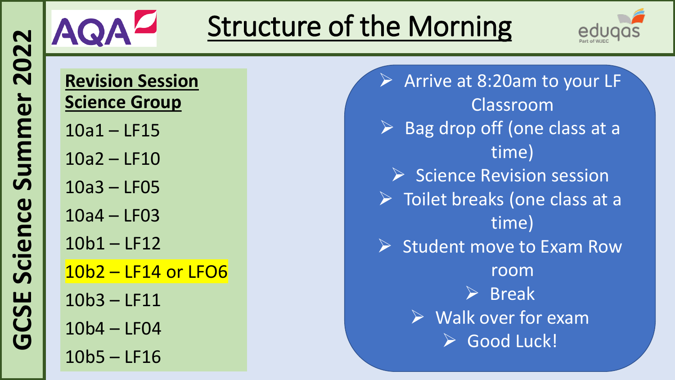

## Structure of the Morning



**Revision Session Science Group** 

10a1 – LF15

10a2 – LF10

10a3 – LF05

10a4 – LF03

10b1 – LF12

10b2 – LF14 or LFO6

10b3 – LF11

10b4 – LF04

10b5 – LF16

➢ Arrive at 8:20am to your LF Classroom Bag drop off (one class at a time) ➢ Science Revision session ➢ Toilet breaks (one class at a time) Student move to Exam Row room ➢ Break  $\triangleright$  Walk over for exam ➢ Good Luck!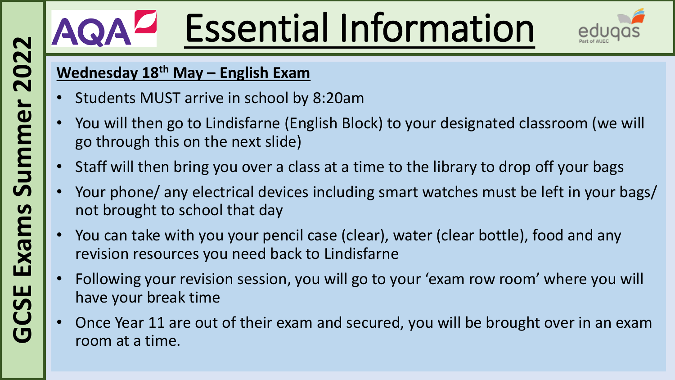# Essential Information



#### **Wednesday 18th May – English Exam**

- Students MUST arrive in school by 8:20am
- You will then go to Lindisfarne (English Block) to your designated classroom (we will go through this on the next slide)
- Staff will then bring you over a class at a time to the library to drop off your bags
- Your phone/ any electrical devices including smart watches must be left in your bags/ not brought to school that day
- You can take with you your pencil case (clear), water (clear bottle), food and any revision resources you need back to Lindisfarne
- Following your revision session, you will go to your 'exam row room' where you will have your break time
- Once Year 11 are out of their exam and secured, you will be brought over in an exam room at a time.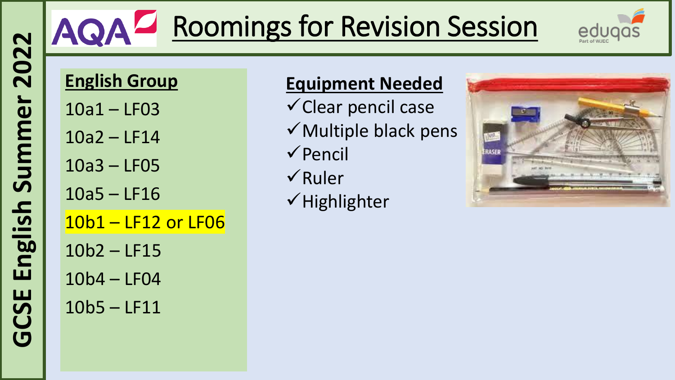## AQA<sup>Z</sup> Roomings for Revision Session



### **English Group**

- 10a1 LF03
- 10a2 LF14
- 10a3 LF05
- 10a5 LF16
- 10b1 LF12 or LF06 10b2 – LF15 10b4 – LF04 10b5 – LF11

### **Equipment Needed**

- $\checkmark$  Clear pencil case
- $\checkmark$  Multiple black pens
- ✓Pencil
- ✓Ruler
- ✓Highlighter

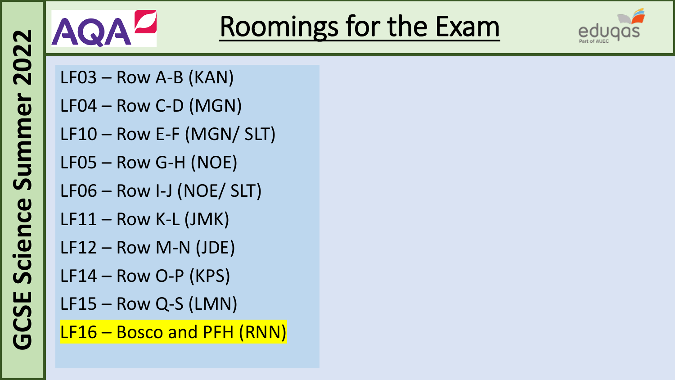

## Roomings for the Exam



- LF03 Row A-B (KAN)
- LF04 Row C-D (MGN)
- LF10 Row E-F (MGN/ SLT)
- LF05 Row G-H (NOE)
- LF06 Row I-J (NOE/ SLT)
- LF11 Row K-L (JMK)
- LF12 Row M-N (JDE)
- LF14 Row O-P (KPS)
- LF15 Row Q-S (LMN)
- LF16 Bosco and PFH (RNN)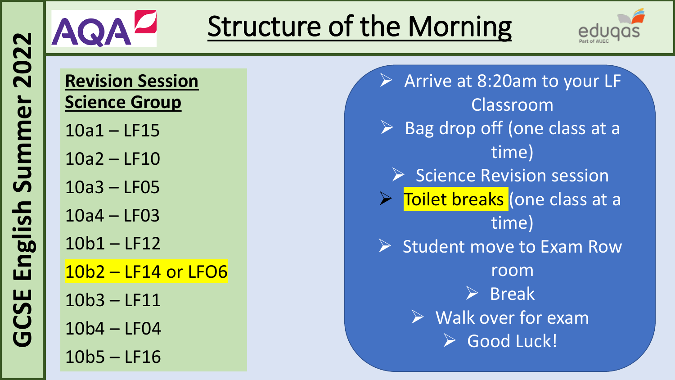

## Structure of the Morning



**Revision Session Science Group** 

10a1 – LF15

10a2 – LF10

10a3 – LF05

10a4 – LF03

10b1 – LF12

10b2 – LF14 or LFO6

10b3 – LF11

10b4 – LF04

10b5 – LF16

➢ Arrive at 8:20am to your LF Classroom Bag drop off (one class at a time) ➢ Science Revision session ➢ Toilet breaks (one class at a time) Student move to Exam Row room ➢ Break  $\triangleright$  Walk over for exam ➢ Good Luck!